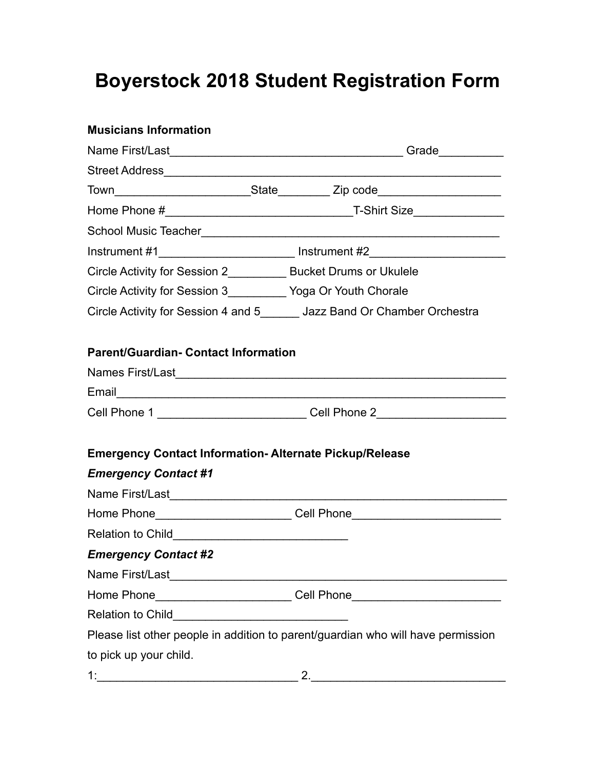## **Boyerstock 2018 Student Registration Form**

| <b>Musicians Information</b>                                   |                                                                                  |
|----------------------------------------------------------------|----------------------------------------------------------------------------------|
|                                                                | Grade___________                                                                 |
|                                                                |                                                                                  |
|                                                                |                                                                                  |
|                                                                |                                                                                  |
|                                                                |                                                                                  |
|                                                                | Instrument #1______________________________ Instrument #2_______________________ |
|                                                                | Circle Activity for Session 2____________ Bucket Drums or Ukulele                |
| Circle Activity for Session 3___________ Yoga Or Youth Chorale |                                                                                  |
|                                                                | Circle Activity for Session 4 and 5_______ Jazz Band Or Chamber Orchestra        |
| <b>Parent/Guardian- Contact Information</b>                    |                                                                                  |
|                                                                |                                                                                  |
|                                                                |                                                                                  |
|                                                                | Cell Phone 1 ____________________________Cell Phone 2___________________________ |
| <b>Emergency Contact Information-Alternate Pickup/Release</b>  |                                                                                  |
| <b>Emergency Contact #1</b>                                    |                                                                                  |
|                                                                |                                                                                  |
|                                                                | Home Phone___________________________Cell Phone_________________________________ |
|                                                                |                                                                                  |
| <b>Emergency Contact #2</b>                                    |                                                                                  |
|                                                                |                                                                                  |
|                                                                | Home Phone____________________________Cell Phone________________________________ |
|                                                                |                                                                                  |
|                                                                | Please list other people in addition to parent/guardian who will have permission |
| to pick up your child.                                         |                                                                                  |
|                                                                |                                                                                  |